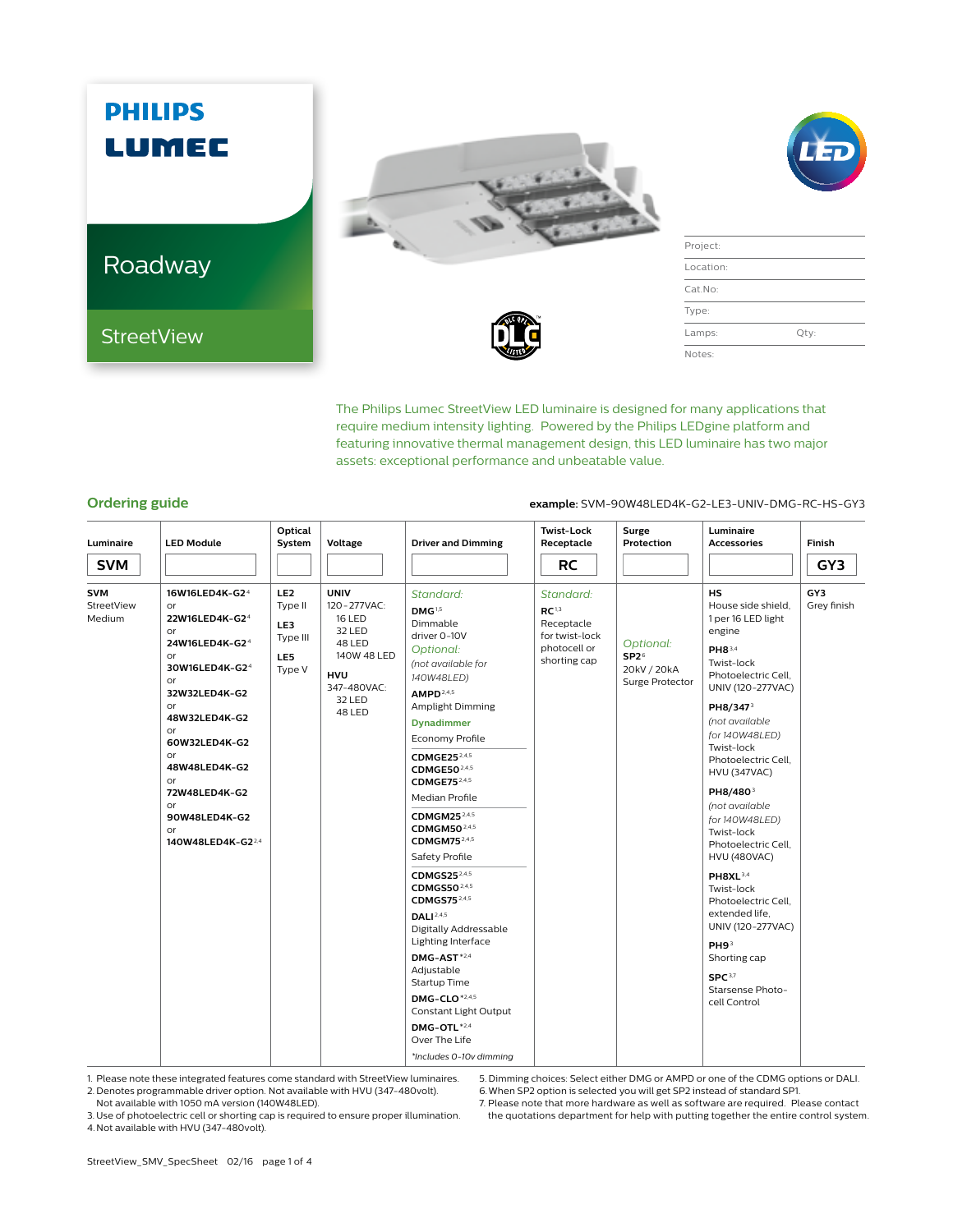

The Philips Lumec StreetView LED luminaire is designed for many applications that require medium intensity lighting. Powered by the Philips LEDgine platform and featuring innovative thermal management design, this LED luminaire has two major assets: exceptional performance and unbeatable value.

## **Ordering guide example:** SVM-90W48LED4K-G2-LE3-UNIV-DMG-RC-HS-GY3

| Luminaire                   | <b>LED Module</b>                                                                                                                                                                                                                                                      | Optical<br>System                                              | Voltage                                                                                                                            | <b>Driver and Dimming</b>                                                                                                                                                                                                                                                                                                                                                                                                                                                                                                                                                                                                                                                                                                | <b>Twist-Lock</b><br>Receptacle                                                                | Surge<br>Protection                                             | Luminaire<br><b>Accessories</b>                                                                                                                                                                                                                                                                                                                                                                                                                                                                                                                                                       | Finish             |
|-----------------------------|------------------------------------------------------------------------------------------------------------------------------------------------------------------------------------------------------------------------------------------------------------------------|----------------------------------------------------------------|------------------------------------------------------------------------------------------------------------------------------------|--------------------------------------------------------------------------------------------------------------------------------------------------------------------------------------------------------------------------------------------------------------------------------------------------------------------------------------------------------------------------------------------------------------------------------------------------------------------------------------------------------------------------------------------------------------------------------------------------------------------------------------------------------------------------------------------------------------------------|------------------------------------------------------------------------------------------------|-----------------------------------------------------------------|---------------------------------------------------------------------------------------------------------------------------------------------------------------------------------------------------------------------------------------------------------------------------------------------------------------------------------------------------------------------------------------------------------------------------------------------------------------------------------------------------------------------------------------------------------------------------------------|--------------------|
| <b>SVM</b>                  |                                                                                                                                                                                                                                                                        |                                                                |                                                                                                                                    |                                                                                                                                                                                                                                                                                                                                                                                                                                                                                                                                                                                                                                                                                                                          | <b>RC</b>                                                                                      |                                                                 |                                                                                                                                                                                                                                                                                                                                                                                                                                                                                                                                                                                       | GY3                |
| SVM<br>StreetView<br>Medium | 16W16LED4K-G24<br>or<br>22W16LED4K-G24<br>or<br>24W16LED4K-G2 <sup>4</sup><br>or<br>30W16LED4K-G24<br>or<br>32W32LED4K-G2<br>or<br>48W32LED4K-G2<br>or<br>60W32LED4K-G2<br>or<br>48W48LED4K-G2<br>or<br>72W48LED4K-G2<br>or<br>90W48LED4K-G2<br>or<br>140W48LED4K-G224 | LE <sub>2</sub><br>Type II<br>LE3<br>Type III<br>LE5<br>Type V | <b>UNIV</b><br>120 - 277 VAC:<br><b>16 LED</b><br>32 LED<br>48 LED<br>140W 48 LED<br><b>HVU</b><br>347-480VAC:<br>32 LED<br>48 LED | Standard:<br>DMG <sup>1,5</sup><br>Dimmable<br>driver 0-10V<br>Optional:<br>(not available for<br>140W48LED)<br>AMPD <sup>2,4,5</sup><br>Amplight Dimming<br><b>Dynadimmer</b><br>Economy Profile<br>CDMGE25 <sup>2,4,5</sup><br>CDMGE50 <sup>2,4,5</sup><br>CDMGE75 <sup>2,4,5</sup><br>Median Profile<br>CDMGM25 <sup>2,4,5</sup><br>CDMGM50 <sup>2,4,5</sup><br>CDMGM75 <sup>2,4,5</sup><br>Safety Profile<br>CDMGS25 $2,4.5$<br>CDMGS50 <sup>2,4,5</sup><br>CDMGS7524,5<br><b>DALI</b> <sup>2,4,5</sup><br>Digitally Addressable<br>Lighting Interface<br>DMG-AST*2,4<br>Adjustable<br>Startup Time<br>DMG-CLO <sup>*2,4,5</sup><br>Constant Light Output<br>DMG-OTL*2.4<br>Over The Life<br>*Includes 0-10v dimming | Standard:<br>RC <sup>1,3</sup><br>Receptacle<br>for twist-lock<br>photocell or<br>shorting cap | Optional:<br>SP2 <sup>6</sup><br>20kV / 20kA<br>Surge Protector | <b>HS</b><br>House side shield.<br>1 per 16 LED light<br>engine<br>PH83,4<br>Twist-lock<br>Photoelectric Cell,<br>UNIV (120-277VAC)<br>PH8/347 <sup>3</sup><br>(not available<br>for 140W48LED)<br>Twist-lock<br>Photoelectric Cell,<br><b>HVU (347VAC)</b><br>PH8/480 <sup>3</sup><br>(not available<br>for 140W48LED)<br>Twist-lock<br>Photoelectric Cell.<br><b>HVU (480VAC)</b><br>PH8XL <sup>3,4</sup><br>Twist-lock<br>Photoelectric Cell.<br>extended life.<br>UNIV (120-277VAC)<br>PH9 <sup>3</sup><br>Shorting cap<br>SPC <sup>3,7</sup><br>Starsense Photo-<br>cell Control | GY3<br>Grey finish |

1. Please note these integrated features come standard with StreetView luminaires.

2. Denotes programmable driver option. Not available with HVU (347-480volt). Not available with 1050 mA version (140W48LED).

5. Dimming choices: Select either DMG or AMPD or one of the CDMG options or DALI. 6.When SP2 option is selected you will get SP2 instead of standard SP1.

3. Use of photoelectric cell or shorting cap is required to ensure proper illumination. 4. Not available with HVU (347-480volt).

7. Please note that more hardware as well as software are required. Please contact the quotations department for help with putting together the entire control system.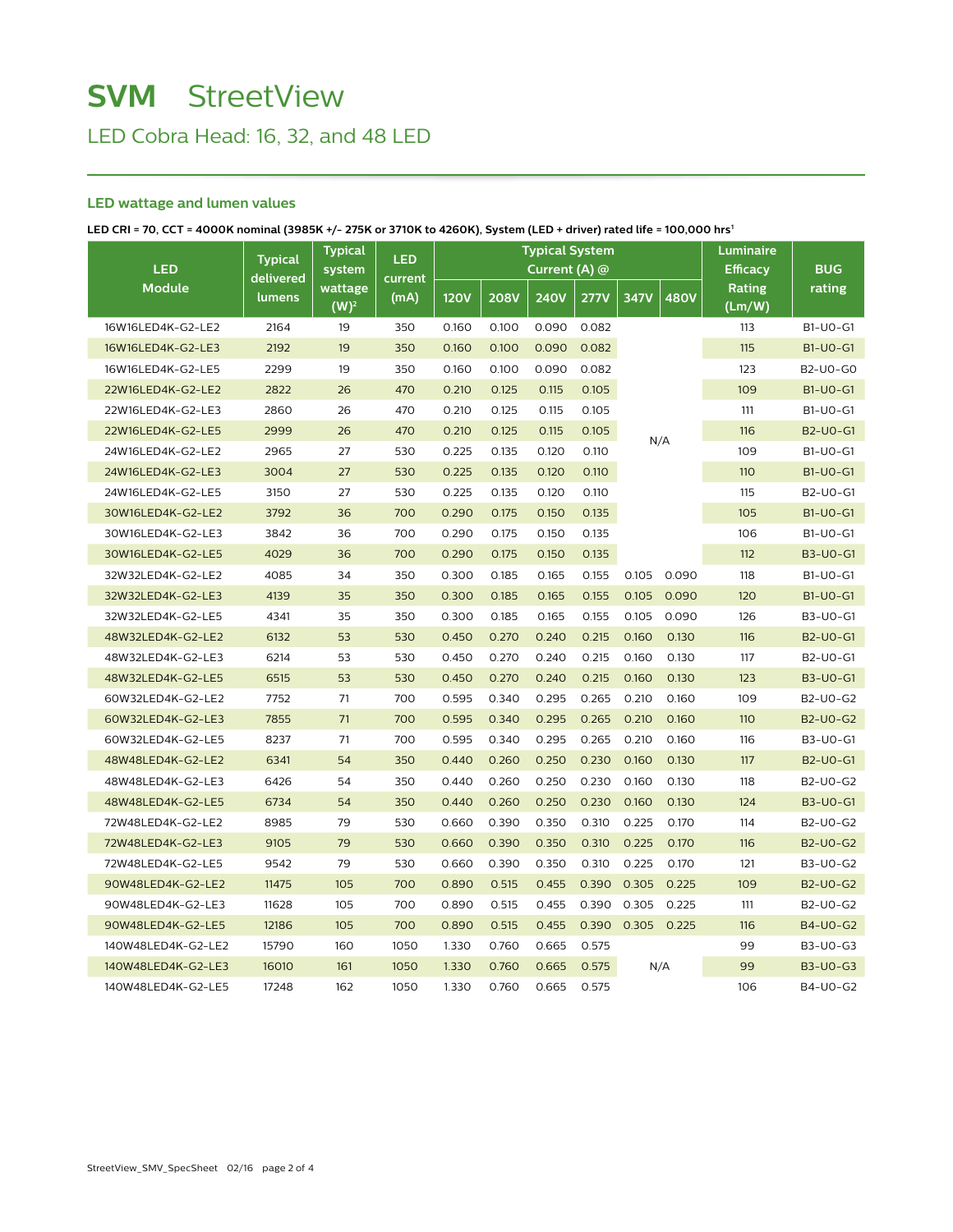# **SVM** StreetView

LED Cobra Head: 16, 32, and 48 LED

## **LED wattage and lumen values**

**LED CRI = 70, CCT = 4000K nominal (3985K +/- 275K or 3710K to 4260K), System (LED + driver) rated life = 100,000 hrs1**

| <b>LED</b>         | <b>Typical</b>      | <b>Typical</b><br>system | <b>LED</b>      | <b>Typical System</b><br>Current (A) $@$ |             |             |             |                   | Luminaire<br><b>Efficacy</b> | <b>BUG</b>       |                 |
|--------------------|---------------------|--------------------------|-----------------|------------------------------------------|-------------|-------------|-------------|-------------------|------------------------------|------------------|-----------------|
| <b>Module</b>      | delivered<br>lumens | wattage<br>$(W)^2$       | current<br>(mA) | <b>120V</b>                              | <b>208V</b> | <b>240V</b> | <b>277V</b> | 347V              | <b>480V</b>                  | Rating<br>(Lm/W) | rating          |
| 16W16LED4K-G2-LE2  | 2164                | 19                       | 350             | 0.160                                    | 0.100       | 0.090       | 0.082       |                   |                              | 113              | B1-U0-G1        |
| 16W16LED4K-G2-LE3  | 2192                | 19                       | 350             | 0.160                                    | 0.100       | 0.090       | 0.082       |                   |                              | 115              | B1-U0-G1        |
| 16W16LED4K-G2-LE5  | 2299                | 19                       | 350             | 0.160                                    | 0.100       | 0.090       | 0.082       |                   |                              | 123              | B2-U0-G0        |
| 22W16LED4K-G2-LE2  | 2822                | 26                       | 470             | 0.210                                    | 0.125       | 0.115       | 0.105       | N/A               |                              | 109              | <b>B1-U0-G1</b> |
| 22W16LED4K-G2-LE3  | 2860                | 26                       | 470             | 0.210                                    | 0.125       | 0.115       | 0.105       |                   |                              | 111              | B1-U0-G1        |
| 22W16LED4K-G2-LE5  | 2999                | 26                       | 470             | 0.210                                    | 0.125       | 0.115       | 0.105       |                   |                              | 116              | <b>B2-U0-G1</b> |
| 24W16LED4K-G2-LE2  | 2965                | 27                       | 530             | 0.225                                    | 0.135       | 0.120       | 0.110       |                   |                              | 109              | B1-U0-G1        |
| 24W16LED4K-G2-LE3  | 3004                | 27                       | 530             | 0.225                                    | 0.135       | 0.120       | 0.110       |                   |                              | 110              | <b>B1-U0-G1</b> |
| 24W16LED4K-G2-LE5  | 3150                | 27                       | 530             | 0.225                                    | 0.135       | 0.120       | 0.110       |                   |                              | 115              | B2-U0-G1        |
| 30W16LED4K-G2-LE2  | 3792                | 36                       | 700             | 0.290                                    | 0.175       | 0.150       | 0.135       |                   |                              | 105              | <b>B1-U0-G1</b> |
| 30W16LED4K-G2-LE3  | 3842                | 36                       | 700             | 0.290                                    | 0.175       | 0.150       | 0.135       |                   |                              | 106              | B1-U0-G1        |
| 30W16LED4K-G2-LE5  | 4029                | 36                       | 700             | 0.290                                    | 0.175       | 0.150       | 0.135       |                   |                              | 112              | <b>B3-U0-G1</b> |
| 32W32LED4K-G2-LE2  | 4085                | 34                       | 350             | 0.300                                    | 0.185       | 0.165       | 0.155       | 0.105             | 0.090                        | 118              | B1-U0-G1        |
| 32W32LED4K-G2-LE3  | 4139                | 35                       | 350             | 0.300                                    | 0.185       | 0.165       | 0.155       | 0.105             | 0.090                        | 120              | <b>B1-U0-G1</b> |
| 32W32LED4K-G2-LE5  | 4341                | 35                       | 350             | 0.300                                    | 0.185       | 0.165       | 0.155       | 0.105             | 0.090                        | 126              | B3-U0-G1        |
| 48W32LED4K-G2-LE2  | 6132                | 53                       | 530             | 0.450                                    | 0.270       | 0.240       | 0.215       | 0.160             | 0.130                        | 116              | <b>B2-U0-G1</b> |
| 48W32LED4K-G2-LE3  | 6214                | 53                       | 530             | 0.450                                    | 0.270       | 0.240       | 0.215       | 0.160             | 0.130                        | 117              | B2-U0-G1        |
| 48W32LED4K-G2-LE5  | 6515                | 53                       | 530             | 0.450                                    | 0.270       | 0.240       | 0.215       | 0.160             | 0.130                        | 123              | <b>B3-U0-G1</b> |
| 60W32LED4K-G2-LE2  | 7752                | 71                       | 700             | 0.595                                    | 0.340       | 0.295       | 0.265       | 0.210             | 0.160                        | 109              | B2-U0-G2        |
| 60W32LED4K-G2-LE3  | 7855                | 71                       | 700             | 0.595                                    | 0.340       | 0.295       | 0.265       | 0.210             | 0.160                        | 110              | <b>B2-U0-G2</b> |
| 60W32LED4K-G2-LE5  | 8237                | 71                       | 700             | 0.595                                    | 0.340       | 0.295       | 0.265       | 0.210             | 0.160                        | 116              | B3-U0-G1        |
| 48W48LED4K-G2-LE2  | 6341                | 54                       | 350             | 0.440                                    | 0.260       | 0.250       | 0.230       | 0.160             | 0.130                        | 117              | <b>B2-U0-G1</b> |
| 48W48LED4K-G2-LE3  | 6426                | 54                       | 350             | 0.440                                    | 0.260       | 0.250       | 0.230       | 0.160             | 0.130                        | 118              | B2-U0-G2        |
| 48W48LED4K-G2-LE5  | 6734                | 54                       | 350             | 0.440                                    | 0.260       | 0.250       | 0.230       | 0.160             | 0.130                        | 124              | <b>B3-U0-G1</b> |
| 72W48LED4K-G2-LE2  | 8985                | 79                       | 530             | 0.660                                    | 0.390       | 0.350       | 0.310       | 0.225             | 0.170                        | 114              | B2-U0-G2        |
| 72W48LED4K-G2-LE3  | 9105                | 79                       | 530             | 0.660                                    | 0.390       | 0.350       | 0.310       | 0.225             | 0.170                        | 116              | <b>B2-U0-G2</b> |
| 72W48LED4K-G2-LE5  | 9542                | 79                       | 530             | 0.660                                    | 0.390       | 0.350       | 0.310       | 0.225             | 0.170                        | 121              | B3-U0-G2        |
| 90W48LED4K-G2-LE2  | 11475               | 105                      | 700             | 0.890                                    | 0.515       | 0.455       | 0.390       | 0.305             | 0.225                        | 109              | <b>B2-U0-G2</b> |
| 90W48LED4K-G2-LE3  | 11628               | 105                      | 700             | 0.890                                    | 0.515       | 0.455       | 0.390       | 0.305             | 0.225                        | 111              | B2-U0-G2        |
| 90W48LED4K-G2-LE5  | 12186               | 105                      | 700             | 0.890                                    | 0.515       | 0.455       |             | 0.390 0.305 0.225 |                              | 116              | B4-U0-G2        |
| 140W48LED4K-G2-LE2 | 15790               | 160                      | 1050            | 1.330                                    | 0.760       | 0.665       | 0.575       |                   |                              | 99               | B3-U0-G3        |
| 140W48LED4K-G2-LE3 | 16010               | 161                      | 1050            | 1.330                                    | 0.760       | 0.665       | 0.575       |                   | N/A                          | 99               | <b>B3-U0-G3</b> |
| 140W48LED4K-G2-LE5 | 17248               | 162                      | 1050            | 1.330                                    | 0.760       | 0.665       | 0.575       |                   |                              | 106              | B4-U0-G2        |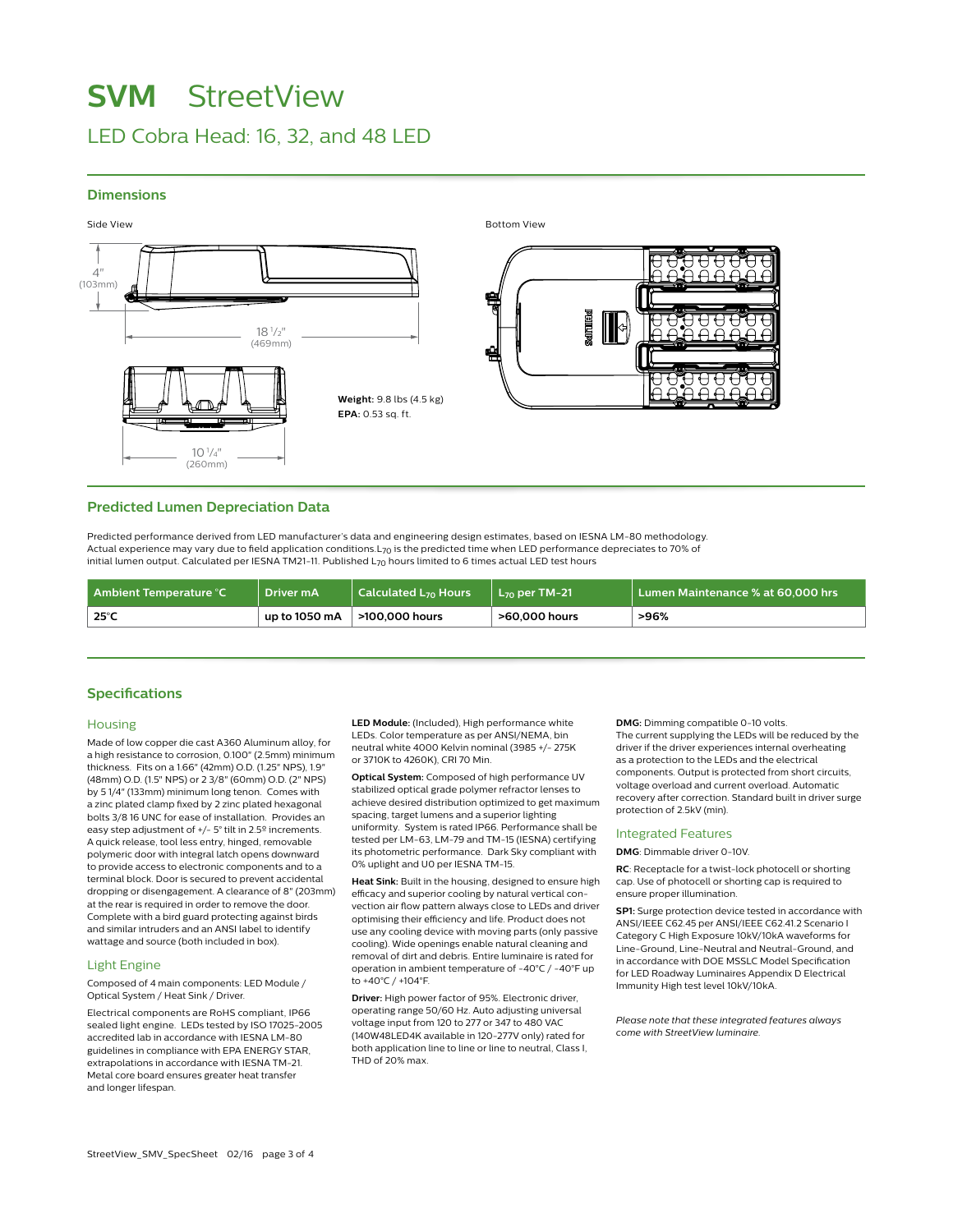## **SVM** StreetView

## LED Cobra Head: 16, 32, and 48 LED

## **Dimensions**



Side View Bottom View



## **Predicted Lumen Depreciation Data**

Predicted performance derived from LED manufacturer's data and engineering design estimates, based on IESNA LM-80 methodology. Actual experience may vary due to field application conditions.L70 is the predicted time when LED performance depreciates to 70% of initial lumen output. Calculated per IESNA TM21-11. Published L<sub>70</sub> hours limited to 6 times actual LED test hours

| Ambient Temperature °C | Driver mA     | $\vert$ Calculated L <sub>70</sub> Hours | $\perp$ L <sub>zo</sub> per TM-21 | Lumen Maintenance % at 60,000 hrs |
|------------------------|---------------|------------------------------------------|-----------------------------------|-----------------------------------|
| 25°C                   | up to 1050 mA | >100,000 hours                           | >60,000 hours                     | >96%                              |

## **Specifications**

#### **Housing**

Made of low copper die cast A360 Aluminum alloy, for a high resistance to corrosion, 0.100" (2.5mm) minimum thickness. Fits on a 1.66" (42mm) O.D. (1.25" NPS), 1.9" (48mm) O.D. (1.5" NPS) or 2 3/8" (60mm) O.D. (2" NPS) by 5 1/4" (133mm) minimum long tenon. Comes with a zinc plated clamp fixed by 2 zinc plated hexagonal bolts 3/8 16 UNC for ease of installation. Provides an easy step adjustment of +/- 5° tilt in 2.5º increments. A quick release, tool less entry, hinged, removable polymeric door with integral latch opens downward to provide access to electronic components and to a terminal block. Door is secured to prevent accidental dropping or disengagement. A clearance of 8" (203mm) at the rear is required in order to remove the door. Complete with a bird guard protecting against birds and similar intruders and an ANSI label to identify wattage and source (both included in box).

## Light Engine

Composed of 4 main components: LED Module / Optical System / Heat Sink / Driver.

Electrical components are RoHS compliant, IP66 sealed light engine.LEDs tested by ISO 17025-2005 accredited lab in accordance with IESNA LM-80 guidelines in compliance with EPA ENERGY STAR, extrapolations in accordance with IESNA TM-21. Metal core board ensures greater heat transfer and longer lifespan.

**LED Module:** (Included), High performance white LEDs. Color temperature as per ANSI/NEMA, bin neutral white 4000 Kelvin nominal (3985 +/- 275K or 3710K to 4260K), CRI 70 Min.

**Optical System:** Composed of high performance UV stabilized optical grade polymer refractor lenses to achieve desired distribution optimized to get maximum spacing, target lumens and a superior lighting uniformity. System is rated IP66. Performance shall be tested per LM-63, LM-79 and TM-15 (IESNA) certifying its photometric performance. Dark Sky compliant with 0% uplight and U0 per IESNA TM-15.

**Heat Sink:** Built in the housing, designed to ensure high efficacy and superior cooling by natural vertical convection air flow pattern always close to LEDs and driver optimising their efficiency and life. Product does not use any cooling device with moving parts (only passive cooling). Wide openings enable natural cleaning and removal of dirt and debris. Entire luminaire is rated for operation in ambient temperature of -40°C / -40°F up to +40°C / +104°F.

**Driver:** High power factor of 95%. Electronic driver, operating range 50/60 Hz. Auto adjusting universal voltage input from 120 to 277 or 347 to 480 VAC (140W48LED4K available in 120-277V only) rated for both application line to line or line to neutral, Class I, THD of 20% max.

**DMG:** Dimming compatible 0-10 volts. The current supplying the LEDs will be reduced by the driver if the driver experiences internal overheating as a protection to the LEDs and the electrical components. Output is protected from short circuits, voltage overload and current overload. Automatic recovery after correction. Standard built in driver surge protection of 2.5kV (min).

#### Integrated Features

**DMG**: Dimmable driver 0-10V.

**RC**: Receptacle for a twist-lock photocell or shorting cap. Use of photocell or shorting cap is required to ensure proper illumination.

**SP1:** Surge protection device tested in accordance with ANSI/IEEE C62.45 per ANSI/IEEE C62.41.2 Scenario I Category C High Exposure 10kV/10kA waveforms for Line-Ground, Line-Neutral and Neutral-Ground, and in accordance with DOE MSSLC Model Specification for LED Roadway Luminaires Appendix D Electrical Immunity High test level 10kV/10kA.

*Please note that these integrated features always come with StreetView luminaire.*